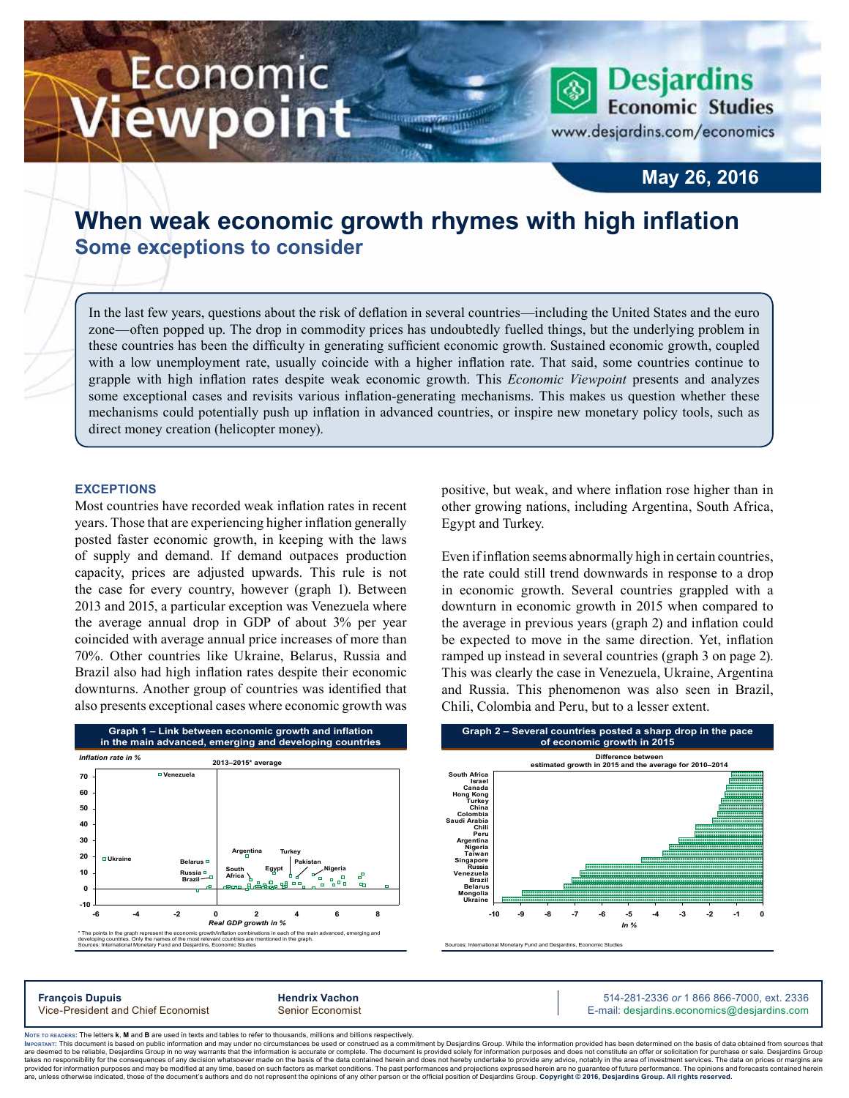# Economic iewpoint

**May 26, 2016**

**Desjardins Economic Studies** 

www.desjardins.com/economics

## **When weak economic growth rhymes with high inflation Some exceptions to consider**

m

In the last few years, questions about the risk of deflation in several countries—including the United States and the euro zone—often popped up. The drop in commodity prices has undoubtedly fuelled things, but the underlying problem in these countries has been the difficulty in generating sufficient economic growth. Sustained economic growth, coupled with a low unemployment rate, usually coincide with a higher inflation rate. That said, some countries continue to grapple with high inflation rates despite weak economic growth. This *Economic Viewpoint* presents and analyzes some exceptional cases and revisits various inflation-generating mechanisms. This makes us question whether these mechanisms could potentially push up inflation in advanced countries, or inspire new monetary policy tools, such as direct money creation (helicopter money).

#### **Exceptions**

Most countries have recorded weak inflation rates in recent years. Those that are experiencing higher inflation generally posted faster economic growth, in keeping with the laws of supply and demand. If demand outpaces production capacity, prices are adjusted upwards. This rule is not the case for every country, however (graph 1). Between 2013 and 2015, a particular exception was Venezuela where the average annual drop in GDP of about 3% per year coincided with average annual price increases of more than 70%. Other countries like Ukraine, Belarus, Russia and Brazil also had high inflation rates despite their economic downturns. Another group of countries was identified that also presents exceptional cases where economic growth was



positive, but weak, and where inflation rose higher than in other growing nations, including Argentina, South Africa, Egypt and Turkey.

Even if inflation seems abnormally high in certain countries, the rate could still trend downwards in response to a drop in economic growth. Several countries grappled with a downturn in economic growth in 2015 when compared to the average in previous years (graph 2) and inflation could be expected to move in the same direction. Yet, inflation ramped up instead in several countries (graph 3 on page 2). This was clearly the case in Venezuela, Ukraine, Argentina and Russia. This phenomenon was also seen in Brazil, Chili, Colombia and Peru, but to a lesser extent.



Sources: International Monetary Fund and Desjardins, Economic Studies

**François Dupuis Hendrix Vachon** 514-281-2336 *or* 1 866 866-7000, ext. 2336 Vice-President and Chief Economist Senior Economist Senior Economist E-mail: desjardins.economics@desjardins.com

Noте то келоекs: The letters **k, M** and **B** are used in texts and tables to refer to thousands, millions and billions respectively.<br>Імроктлит: This document is based on public information and may under no circumstances be are deemed to be reliable. Desiardins Group in no way warrants that the information is accurate or complete. The document is provided solely for information purposes and does not constitute an offer or solicitation for pur takes no responsibility for the consequences of any decision whatsoever made on the basis of the data contained herein and does not hereby undertake to provide any advice, notably in the area of investment services. The da .<br>are, unless otherwise indicated, those of the document's authors and do not represent the opinions of any other person or the official position of Desjardins Group. Copyright © 2016, Desjardins Group. All rights reserve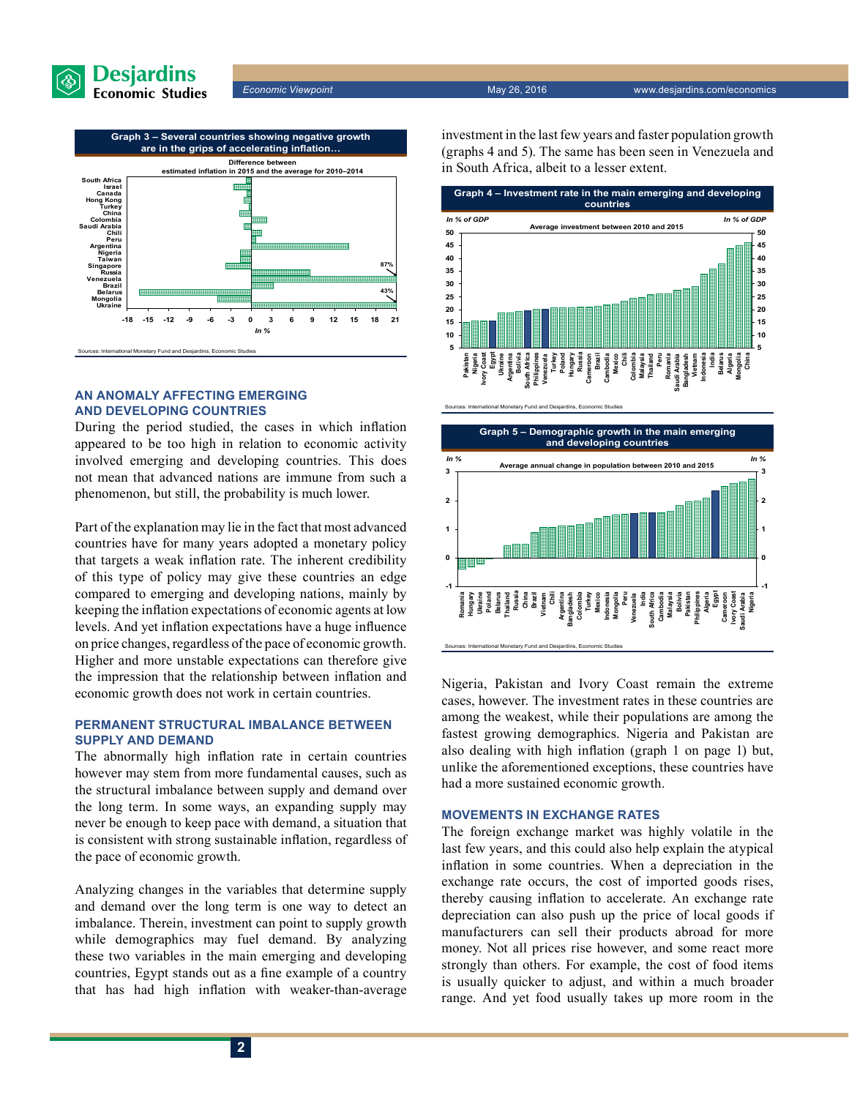

Sources: International Monetary Fund and Desjardins, Economic Studies



#### **An anomaly affecting emerging and developing countries**

During the period studied, the cases in which inflation appeared to be too high in relation to economic activity involved emerging and developing countries. This does not mean that advanced nations are immune from such a phenomenon, but still, the probability is much lower.

Part of the explanation may lie in the fact that most advanced countries have for many years adopted a monetary policy that targets a weak inflation rate. The inherent credibility of this type of policy may give these countries an edge compared to emerging and developing nations, mainly by keeping the inflation expectations of economic agents at low levels. And yet inflation expectations have a huge influence on price changes, regardless of the pace of economic growth. Higher and more unstable expectations can therefore give the impression that the relationship between inflation and economic growth does not work in certain countries.

#### **Permanent structural imbalance between supply and demand**

The abnormally high inflation rate in certain countries however may stem from more fundamental causes, such as the structural imbalance between supply and demand over the long term. In some ways, an expanding supply may never be enough to keep pace with demand, a situation that is consistent with strong sustainable inflation, regardless of the pace of economic growth.

Analyzing changes in the variables that determine supply and demand over the long term is one way to detect an imbalance. Therein, investment can point to supply growth while demographics may fuel demand. By analyzing these two variables in the main emerging and developing countries, Egypt stands out as a fine example of a country that has had high inflation with weaker-than-average investment in the last few years and faster population growth (graphs 4 and 5). The same has been seen in Venezuela and in South Africa, albeit to a lesser extent.





Nigeria, Pakistan and Ivory Coast remain the extreme cases, however. The investment rates in these countries are among the weakest, while their populations are among the fastest growing demographics. Nigeria and Pakistan are also dealing with high inflation (graph 1 on page 1) but, unlike the aforementioned exceptions, these countries have had a more sustained economic growth.

#### **Movements in exchange rates**

The foreign exchange market was highly volatile in the last few years, and this could also help explain the atypical inflation in some countries. When a depreciation in the exchange rate occurs, the cost of imported goods rises, thereby causing inflation to accelerate. An exchange rate depreciation can also push up the price of local goods if manufacturers can sell their products abroad for more money. Not all prices rise however, and some react more strongly than others. For example, the cost of food items is usually quicker to adjust, and within a much broader range. And yet food usually takes up more room in the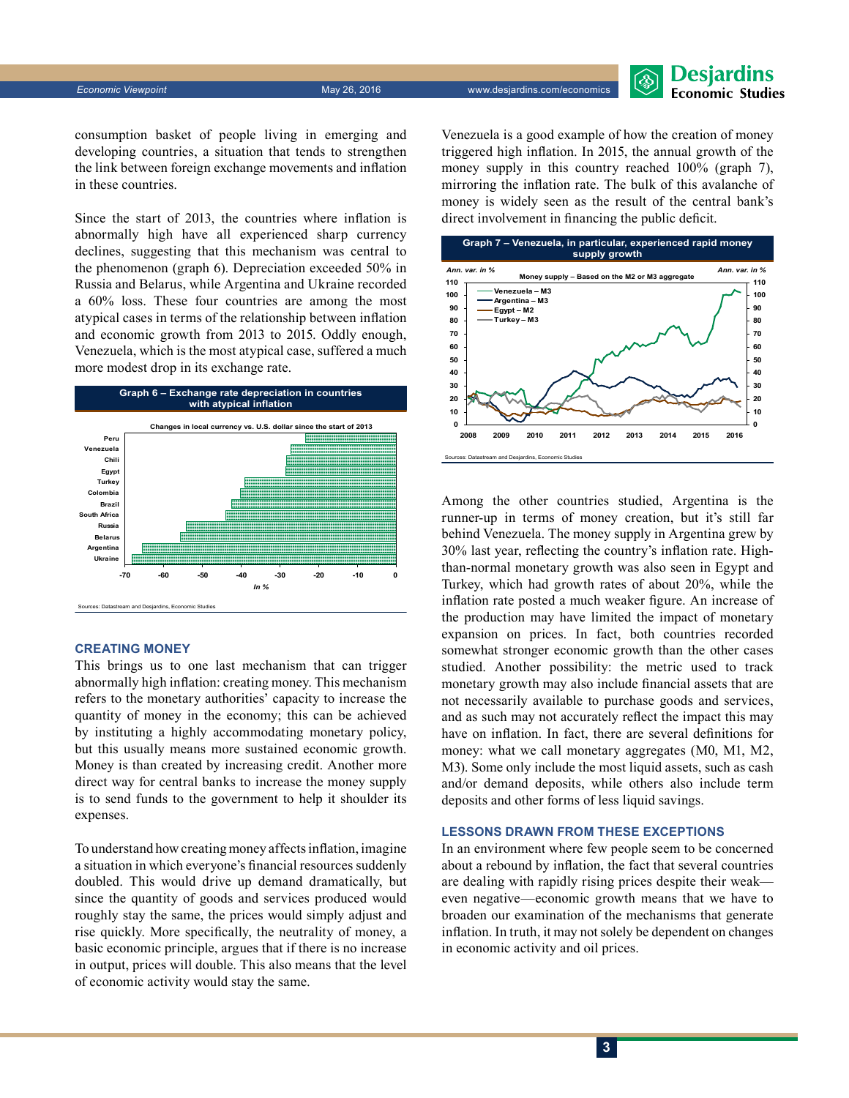**Desjardins Economic Studies** 

consumption basket of people living in emerging and developing countries, a situation that tends to strengthen the link between foreign exchange movements and inflation in these countries.

Since the start of 2013, the countries where inflation is abnormally high have all experienced sharp currency declines, suggesting that this mechanism was central to the phenomenon (graph 6). Depreciation exceeded 50% in Russia and Belarus, while Argentina and Ukraine recorded a 60% loss. These four countries are among the most atypical cases in terms of the relationship between inflation and economic growth from 2013 to 2015. Oddly enough, Venezuela, which is the most atypical case, suffered a much more modest drop in its exchange rate.



### **Creating money**

This brings us to one last mechanism that can trigger abnormally high inflation: creating money. This mechanism refers to the monetary authorities' capacity to increase the quantity of money in the economy; this can be achieved by instituting a highly accommodating monetary policy, but this usually means more sustained economic growth. Money is than created by increasing credit. Another more direct way for central banks to increase the money supply is to send funds to the government to help it shoulder its expenses.

To understand how creating money affects inflation, imagine a situation in which everyone's financial resources suddenly doubled. This would drive up demand dramatically, but since the quantity of goods and services produced would roughly stay the same, the prices would simply adjust and rise quickly. More specifically, the neutrality of money, a basic economic principle, argues that if there is no increase in output, prices will double. This also means that the level of economic activity would stay the same.

Venezuela is a good example of how the creation of money triggered high inflation. In 2015, the annual growth of the money supply in this country reached 100% (graph 7), mirroring the inflation rate. The bulk of this avalanche of money is widely seen as the result of the central bank's direct involvement in financing the public deficit.



Among the other countries studied, Argentina is the runner‑up in terms of money creation, but it's still far behind Venezuela. The money supply in Argentina grew by 30% last year, reflecting the country's inflation rate. Highthan-normal monetary growth was also seen in Egypt and Turkey, which had growth rates of about 20%, while the inflation rate posted a much weaker figure. An increase of the production may have limited the impact of monetary expansion on prices. In fact, both countries recorded somewhat stronger economic growth than the other cases studied. Another possibility: the metric used to track monetary growth may also include financial assets that are not necessarily available to purchase goods and services, and as such may not accurately reflect the impact this may have on inflation. In fact, there are several definitions for money: what we call monetary aggregates (M0, M1, M2, M3). Some only include the most liquid assets, such as cash and/or demand deposits, while others also include term deposits and other forms of less liquid savings.

#### **Lessons drawn from these exceptions**

In an environment where few people seem to be concerned about a rebound by inflation, the fact that several countries are dealing with rapidly rising prices despite their weak even negative—economic growth means that we have to broaden our examination of the mechanisms that generate inflation. In truth, it may not solely be dependent on changes in economic activity and oil prices.